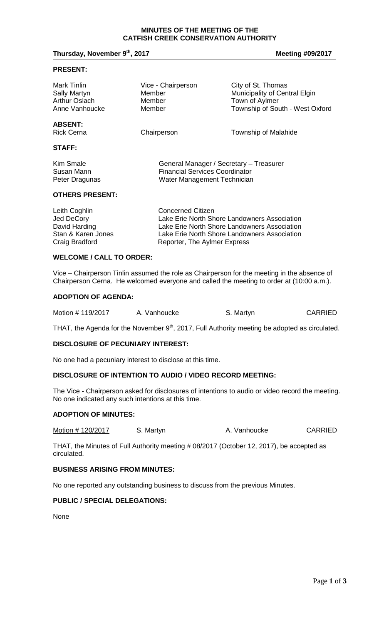#### **MINUTES OF THE MEETING OF THE CATFISH CREEK CONSERVATION AUTHORITY**

# **Thursday, November 9<sup>th</sup>, 2017 Meeting #09/2017 Meeting #09/2017**

#### **PRESENT:**

| Mark Tinlin                         | Vice - Chairperson                      | City of St. Thomas              |
|-------------------------------------|-----------------------------------------|---------------------------------|
| <b>Sally Martyn</b>                 | Member                                  | Municipality of Central Elgin   |
| <b>Arthur Oslach</b>                | Member                                  | Town of Aylmer                  |
| Anne Vanhoucke                      | Member                                  | Township of South - West Oxford |
| <b>ABSENT:</b><br><b>Rick Cerna</b> | Chairperson                             | <b>Township of Malahide</b>     |
| <b>STAFF:</b>                       |                                         |                                 |
| Kim Smale                           | General Manager / Secretary - Treasurer |                                 |
| Susan Mann                          | <b>Financial Services Coordinator</b>   |                                 |
| Peter Dragunas                      | Water Management Technician             |                                 |

#### **OTHERS PRESENT:**

| Concerned Citizen                            |
|----------------------------------------------|
| Lake Erie North Shore Landowners Association |
| Lake Erie North Shore Landowners Association |
| Lake Erie North Shore Landowners Association |
| Reporter, The Aylmer Express                 |
|                                              |

# **WELCOME / CALL TO ORDER:**

Vice – Chairperson Tinlin assumed the role as Chairperson for the meeting in the absence of Chairperson Cerna. He welcomed everyone and called the meeting to order at (10:00 a.m.).

## **ADOPTION OF AGENDA:**

| Motion # 119/2017 | A. Vanhoucke | S. Martyn | <b>CARRIED</b> |
|-------------------|--------------|-----------|----------------|
|-------------------|--------------|-----------|----------------|

THAT, the Agenda for the November 9<sup>th</sup>, 2017, Full Authority meeting be adopted as circulated.

## **DISCLOSURE OF PECUNIARY INTEREST:**

No one had a pecuniary interest to disclose at this time.

## **DISCLOSURE OF INTENTION TO AUDIO / VIDEO RECORD MEETING:**

The Vice - Chairperson asked for disclosures of intentions to audio or video record the meeting. No one indicated any such intentions at this time.

#### **ADOPTION OF MINUTES:**

Motion # 120/2017 S. Martyn B. Mattyn A. Vanhoucke CARRIED

THAT, the Minutes of Full Authority meeting # 08/2017 (October 12, 2017), be accepted as circulated.

# **BUSINESS ARISING FROM MINUTES:**

No one reported any outstanding business to discuss from the previous Minutes.

# **PUBLIC / SPECIAL DELEGATIONS:**

None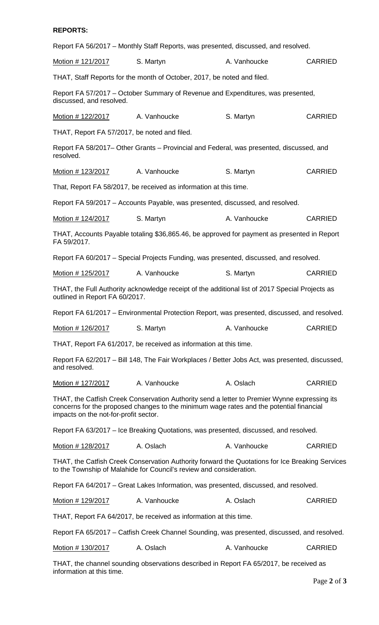# **REPORTS:**

Report FA 56/2017 – Monthly Staff Reports, was presented, discussed, and resolved.

| Motion # 121/2017                                                                                                                                                                                                                | S. Martyn                                                                                                                                                              | A. Vanhoucke | <b>CARRIED</b> |  |
|----------------------------------------------------------------------------------------------------------------------------------------------------------------------------------------------------------------------------------|------------------------------------------------------------------------------------------------------------------------------------------------------------------------|--------------|----------------|--|
|                                                                                                                                                                                                                                  | THAT, Staff Reports for the month of October, 2017, be noted and filed.                                                                                                |              |                |  |
| discussed, and resolved.                                                                                                                                                                                                         | Report FA 57/2017 – October Summary of Revenue and Expenditures, was presented,                                                                                        |              |                |  |
| Motion # 122/2017                                                                                                                                                                                                                | A. Vanhoucke                                                                                                                                                           | S. Martyn    | <b>CARRIED</b> |  |
| THAT, Report FA 57/2017, be noted and filed.                                                                                                                                                                                     |                                                                                                                                                                        |              |                |  |
| resolved.                                                                                                                                                                                                                        | Report FA 58/2017– Other Grants – Provincial and Federal, was presented, discussed, and                                                                                |              |                |  |
| Motion # 123/2017                                                                                                                                                                                                                | A. Vanhoucke                                                                                                                                                           | S. Martyn    | <b>CARRIED</b> |  |
|                                                                                                                                                                                                                                  | That, Report FA 58/2017, be received as information at this time.                                                                                                      |              |                |  |
|                                                                                                                                                                                                                                  | Report FA 59/2017 - Accounts Payable, was presented, discussed, and resolved.                                                                                          |              |                |  |
| Motion # 124/2017                                                                                                                                                                                                                | S. Martyn                                                                                                                                                              | A. Vanhoucke | <b>CARRIED</b> |  |
| FA 59/2017.                                                                                                                                                                                                                      | THAT, Accounts Payable totaling \$36,865.46, be approved for payment as presented in Report                                                                            |              |                |  |
|                                                                                                                                                                                                                                  | Report FA 60/2017 – Special Projects Funding, was presented, discussed, and resolved.                                                                                  |              |                |  |
| Motion # 125/2017                                                                                                                                                                                                                | A. Vanhoucke                                                                                                                                                           | S. Martyn    | <b>CARRIED</b> |  |
| outlined in Report FA 60/2017.                                                                                                                                                                                                   | THAT, the Full Authority acknowledge receipt of the additional list of 2017 Special Projects as                                                                        |              |                |  |
|                                                                                                                                                                                                                                  | Report FA 61/2017 – Environmental Protection Report, was presented, discussed, and resolved.                                                                           |              |                |  |
| Motion # 126/2017                                                                                                                                                                                                                | S. Martyn                                                                                                                                                              | A. Vanhoucke | <b>CARRIED</b> |  |
|                                                                                                                                                                                                                                  | THAT, Report FA 61/2017, be received as information at this time.                                                                                                      |              |                |  |
| and resolved.                                                                                                                                                                                                                    | Report FA 62/2017 - Bill 148, The Fair Workplaces / Better Jobs Act, was presented, discussed,                                                                         |              |                |  |
| Motion # 127/2017                                                                                                                                                                                                                | A. Vanhoucke                                                                                                                                                           | A. Oslach    | <b>CARRIED</b> |  |
| THAT, the Catfish Creek Conservation Authority send a letter to Premier Wynne expressing its<br>concerns for the proposed changes to the minimum wage rates and the potential financial<br>impacts on the not-for-profit sector. |                                                                                                                                                                        |              |                |  |
|                                                                                                                                                                                                                                  | Report FA 63/2017 - Ice Breaking Quotations, was presented, discussed, and resolved.                                                                                   |              |                |  |
| Motion # 128/2017                                                                                                                                                                                                                | A. Oslach                                                                                                                                                              | A. Vanhoucke | <b>CARRIED</b> |  |
|                                                                                                                                                                                                                                  | THAT, the Catfish Creek Conservation Authority forward the Quotations for Ice Breaking Services<br>to the Township of Malahide for Council's review and consideration. |              |                |  |
| Report FA 64/2017 – Great Lakes Information, was presented, discussed, and resolved.                                                                                                                                             |                                                                                                                                                                        |              |                |  |
| Motion # 129/2017                                                                                                                                                                                                                | A. Vanhoucke                                                                                                                                                           | A. Oslach    | <b>CARRIED</b> |  |
| THAT, Report FA 64/2017, be received as information at this time.                                                                                                                                                                |                                                                                                                                                                        |              |                |  |
| Report FA 65/2017 – Catfish Creek Channel Sounding, was presented, discussed, and resolved.                                                                                                                                      |                                                                                                                                                                        |              |                |  |
| Motion # 130/2017                                                                                                                                                                                                                | A. Oslach                                                                                                                                                              | A. Vanhoucke | <b>CARRIED</b> |  |
| information at this time.                                                                                                                                                                                                        | THAT, the channel sounding observations described in Report FA 65/2017, be received as                                                                                 |              |                |  |